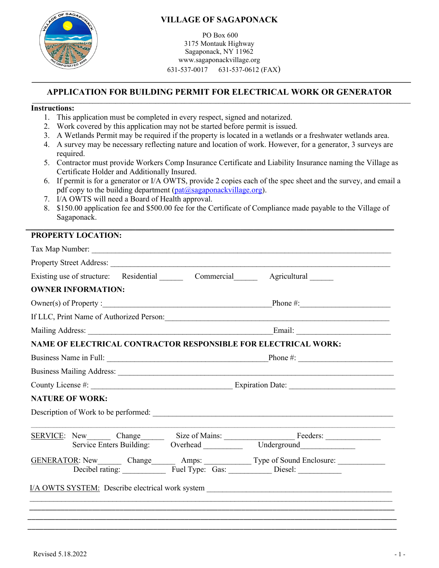

## **VILLAGE OF SAGAPONACK**

PO Box 600 3175 Montauk Highway Sagaponack, NY 11962 www.sagaponackvillage.org 631-537-0017 631-537-0612 (FAX)

# **APPLICATION FOR BUILDING PERMIT FOR ELECTRICAL WORK OR GENERATOR \_\_\_\_\_\_\_\_\_\_\_\_\_\_\_\_\_\_\_\_\_\_\_\_\_\_\_\_\_\_\_\_\_\_\_\_\_\_\_\_\_\_\_\_\_\_\_\_\_\_\_\_\_\_\_\_\_\_\_\_\_\_\_\_\_\_\_\_\_\_\_\_\_\_\_\_\_\_\_\_\_\_\_\_\_\_\_\_\_\_\_\_\_\_\_\_\_\_\_\_\_\_\_\_\_\_\_\_\_\_\_\_\_\_\_\_\_\_\_\_\_\_\_\_\_\_\_\_\_\_\_\_**

#### **Instructions:**

- 1. This application must be completed in every respect, signed and notarized.
- 2. Work covered by this application may not be started before permit is issued.
- 3. A Wetlands Permit may be required if the property is located in a wetlands or a freshwater wetlands area.
- 4. A survey may be necessary reflecting nature and location of work. However, for a generator, 3 surveys are required.
- 5. Contractor must provide Workers Comp Insurance Certificate and Liability Insurance naming the Village as Certificate Holder and Additionally Insured.
- 6. If permit is for a generator or I/A OWTS, provide 2 copies each of the spec sheet and the survey, and email a pdf copy to the building department  $(\text{pat@sagaponackvillage.org}).$
- 7. I/A OWTS will need a Board of Health approval.
- 8. \$150.00 application fee and \$500.00 fee for the Certificate of Compliance made payable to the Village of Sagaponack.

#### **\_\_\_\_\_\_\_\_\_\_\_\_\_\_\_\_\_\_\_\_\_\_\_\_\_\_\_\_\_\_\_\_\_\_\_\_\_\_\_\_\_\_\_\_\_\_\_\_\_\_\_\_\_\_\_\_\_\_\_\_\_\_\_\_\_\_\_\_\_\_\_\_\_\_\_\_\_\_\_\_\_\_\_\_ PROPERTY LOCATION:**

| Tax Map Number:                                                                                                                                                                                                                |  |  |  |  |
|--------------------------------------------------------------------------------------------------------------------------------------------------------------------------------------------------------------------------------|--|--|--|--|
|                                                                                                                                                                                                                                |  |  |  |  |
| Existing use of structure: Residential Commercial Agricultural Commercial                                                                                                                                                      |  |  |  |  |
| <b>OWNER INFORMATION:</b>                                                                                                                                                                                                      |  |  |  |  |
|                                                                                                                                                                                                                                |  |  |  |  |
| If LLC, Print Name of Authorized Person:                                                                                                                                                                                       |  |  |  |  |
|                                                                                                                                                                                                                                |  |  |  |  |
| NAME OF ELECTRICAL CONTRACTOR RESPONSIBLE FOR ELECTRICAL WORK:                                                                                                                                                                 |  |  |  |  |
|                                                                                                                                                                                                                                |  |  |  |  |
| Business Mailing Address: 2008. The Mailing Address: 2008. The Mail of the Mail of the Mail of the Mail of the Mail of the Mail of the Mail of the Mail of the Mail of the Mail of the Mail of the Mail of the Mail of the Mai |  |  |  |  |
|                                                                                                                                                                                                                                |  |  |  |  |
| <b>NATURE OF WORK:</b>                                                                                                                                                                                                         |  |  |  |  |
|                                                                                                                                                                                                                                |  |  |  |  |
|                                                                                                                                                                                                                                |  |  |  |  |
| SERVICE: New Change Size of Mains: Feeders: Service Enters Building: Overhead Underground                                                                                                                                      |  |  |  |  |
|                                                                                                                                                                                                                                |  |  |  |  |
| GENERATOR: New Change Amps: Type of Sound Enclosure:                                                                                                                                                                           |  |  |  |  |
|                                                                                                                                                                                                                                |  |  |  |  |
|                                                                                                                                                                                                                                |  |  |  |  |
|                                                                                                                                                                                                                                |  |  |  |  |
|                                                                                                                                                                                                                                |  |  |  |  |
|                                                                                                                                                                                                                                |  |  |  |  |
|                                                                                                                                                                                                                                |  |  |  |  |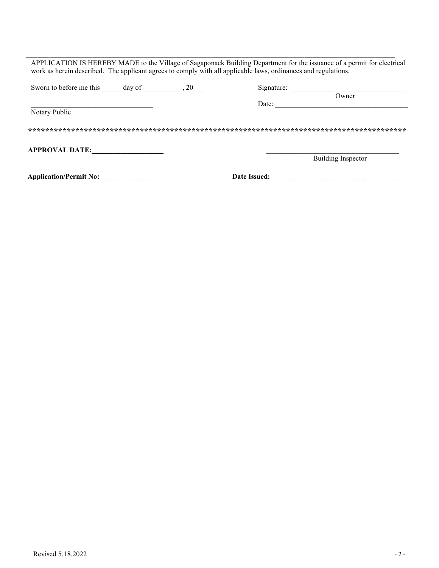|                       |  | Signature: |                           |
|-----------------------|--|------------|---------------------------|
|                       |  |            | Owner                     |
|                       |  | Date:      |                           |
| Notary Public         |  |            |                           |
|                       |  |            |                           |
|                       |  |            |                           |
| <b>APPROVAL DATE:</b> |  |            | <b>Building Inspector</b> |

\_\_\_\_\_\_\_\_\_\_\_\_\_\_\_\_\_\_\_\_\_\_\_\_\_\_\_\_\_\_\_\_\_\_\_\_\_\_\_\_\_\_\_\_\_\_\_\_\_\_\_\_\_\_\_\_\_\_\_\_\_\_\_\_\_\_\_\_\_\_\_\_\_\_\_\_\_\_\_\_\_\_\_\_\_\_\_\_\_\_\_\_\_\_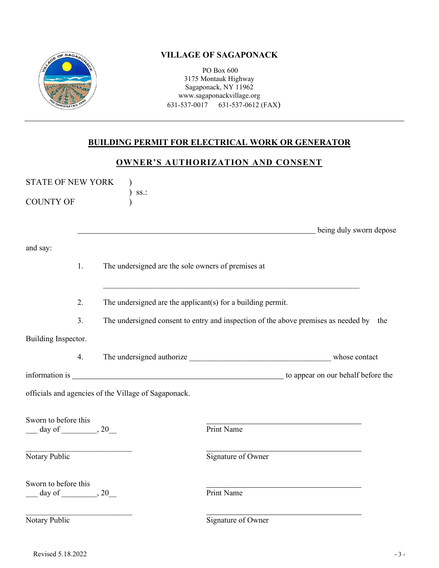

## **VILLAGE OF SAGAPONACK**

PO Box 600 3175 Montauk Highway Sagaponack, NY 11962 www.sagaponackvillage.org 631-537-0017 631-537-0612 (FAX)

# **BUILDING PERMIT FOR ELECTRICAL WORK OR GENERATOR**

## **OWNER'S AUTHORIZATION AND CONSENT**

| <b>STATE OF NEW YORK</b>                             |    |                                                                                        |                         |  |  |  |
|------------------------------------------------------|----|----------------------------------------------------------------------------------------|-------------------------|--|--|--|
| <b>COUNTY OF</b>                                     |    | SS.                                                                                    |                         |  |  |  |
|                                                      |    |                                                                                        | being duly sworn depose |  |  |  |
| and say:                                             |    |                                                                                        |                         |  |  |  |
|                                                      | 1. | The undersigned are the sole owners of premises at                                     |                         |  |  |  |
|                                                      | 2. | The undersigned are the applicant(s) for a building permit.                            |                         |  |  |  |
|                                                      | 3. | The undersigned consent to entry and inspection of the above premises as needed by the |                         |  |  |  |
| Building Inspector.                                  |    |                                                                                        |                         |  |  |  |
|                                                      | 4. |                                                                                        |                         |  |  |  |
|                                                      |    |                                                                                        |                         |  |  |  |
|                                                      |    | officials and agencies of the Village of Sagaponack.                                   |                         |  |  |  |
|                                                      |    |                                                                                        |                         |  |  |  |
| Sworn to before this<br>$\frac{day \text{ of }$ 0.20 |    |                                                                                        | Print Name              |  |  |  |
| Notary Public                                        |    |                                                                                        | Signature of Owner      |  |  |  |
| Sworn to before this                                 |    |                                                                                        | Print Name              |  |  |  |
| Notary Public                                        |    |                                                                                        | Signature of Owner      |  |  |  |